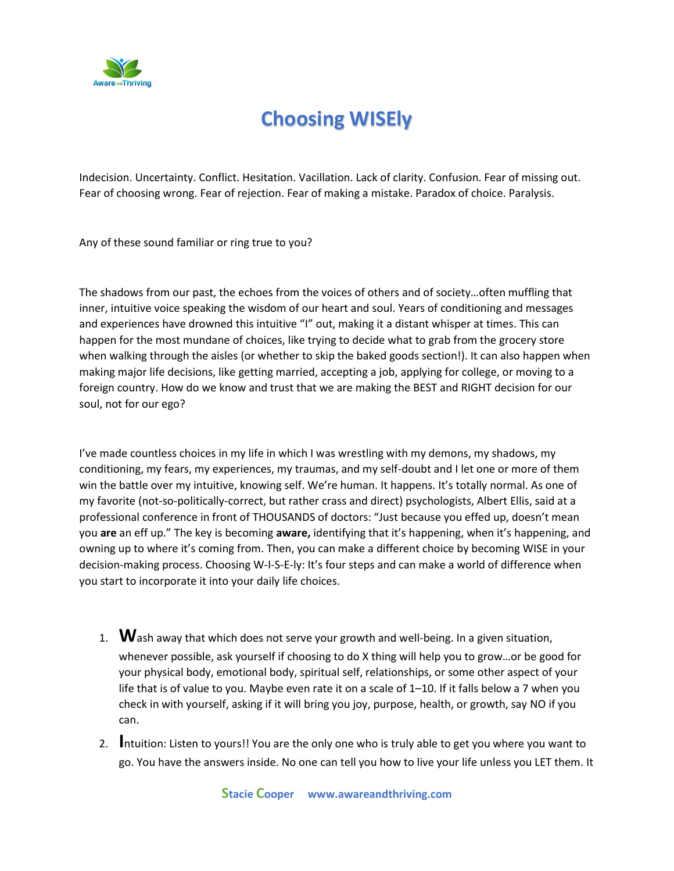

## **Choosing WISEly**

Indecision. Uncertainty. Conflict. Hesitation. Vacillation. Lack of clarity. Confusion. Fear of missing out. Fear of choosing wrong. Fear of rejection. Fear of making a mistake. Paradox of choice. Paralysis.

Any of these sound familiar or ring true to you?

The shadows from our past, the echoes from the voices of others and of society…often muffling that inner, intuitive voice speaking the wisdom of our heart and soul. Years of conditioning and messages and experiences have drowned this intuitive "I" out, making it a distant whisper at times. This can happen for the most mundane of choices, like trying to decide what to grab from the grocery store when walking through the aisles (or whether to skip the baked goods section!). It can also happen when making major life decisions, like getting married, accepting a job, applying for college, or moving to a foreign country. How do we know and trust that we are making the BEST and RIGHT decision for our soul, not for our ego?

I've made countless choices in my life in which I was wrestling with my demons, my shadows, my conditioning, my fears, my experiences, my traumas, and my self-doubt and I let one or more of them win the battle over my intuitive, knowing self. We're human. It happens. It's totally normal. As one of my favorite (not-so-politically-correct, but rather crass and direct) psychologists, Albert Ellis, said at a professional conference in front of THOUSANDS of doctors: "Just because you effed up, doesn't mean you **are** an eff up." The key is becoming **aware,** identifying that it's happening, when it's happening, and owning up to where it's coming from. Then, you can make a different choice by becoming WISE in your decision-making process. Choosing W-I-S-E-ly: It's four steps and can make a world of difference when you start to incorporate it into your daily life choices.

- 1. **W**ash away that which does not serve your growth and well-being. In a given situation, whenever possible, ask yourself if choosing to do X thing will help you to grow…or be good for your physical body, emotional body, spiritual self, relationships, or some other aspect of your life that is of value to you. Maybe even rate it on a scale of 1–10. If it falls below a 7 when you check in with yourself, asking if it will bring you joy, purpose, health, or growth, say NO if you can.
- 2. **I**ntuition: Listen to yours!! You are the only one who is truly able to get you where you want to go. You have the answers inside. No one can tell you how to live your life unless you LET them. It